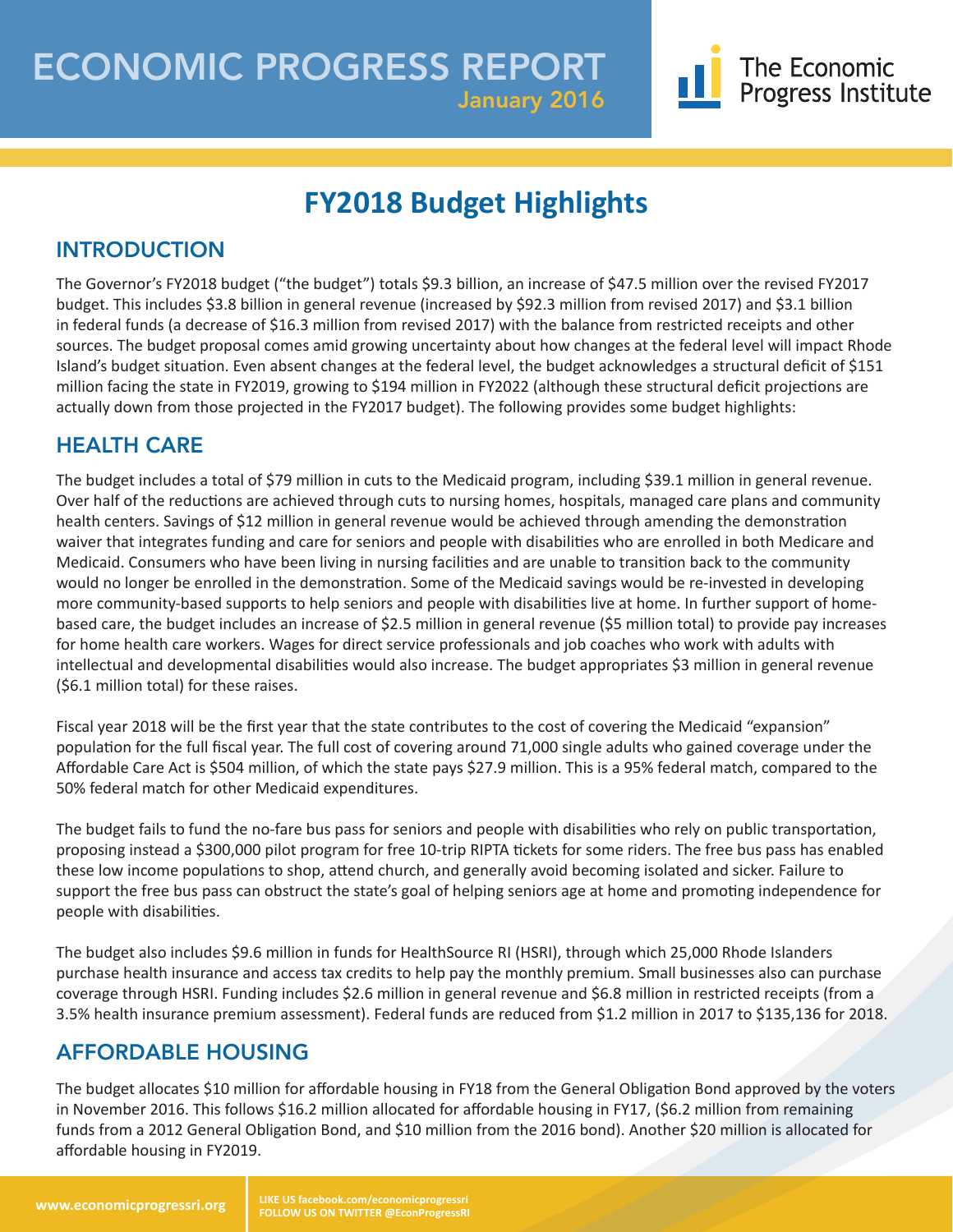# **FY2018 Budget Highlights**

# INTRODUCTION

The Governor's FY2018 budget ("the budget") totals \$9.3 billion, an increase of \$47.5 million over the revised FY2017 budget. This includes \$3.8 billion in general revenue (increased by \$92.3 million from revised 2017) and \$3.1 billion in federal funds (a decrease of \$16.3 million from revised 2017) with the balance from restricted receipts and other sources. The budget proposal comes amid growing uncertainty about how changes at the federal level will impact Rhode Island's budget situation. Even absent changes at the federal level, the budget acknowledges a structural deficit of \$151 million facing the state in FY2019, growing to \$194 million in FY2022 (although these structural deficit projections are actually down from those projected in the FY2017 budget). The following provides some budget highlights:

# HEALTH CARE

The budget includes a total of \$79 million in cuts to the Medicaid program, including \$39.1 million in general revenue. Over half of the reductions are achieved through cuts to nursing homes, hospitals, managed care plans and community health centers. Savings of \$12 million in general revenue would be achieved through amending the demonstration waiver that integrates funding and care for seniors and people with disabilities who are enrolled in both Medicare and Medicaid. Consumers who have been living in nursing facilities and are unable to transition back to the community would no longer be enrolled in the demonstration. Some of the Medicaid savings would be re-invested in developing more community-based supports to help seniors and people with disabilities live at home. In further support of homebased care, the budget includes an increase of \$2.5 million in general revenue (\$5 million total) to provide pay increases for home health care workers. Wages for direct service professionals and job coaches who work with adults with intellectual and developmental disabilities would also increase. The budget appropriates \$3 million in general revenue (\$6.1 million total) for these raises.

Fiscal year 2018 will be the first year that the state contributes to the cost of covering the Medicaid "expansion" population for the full fiscal year. The full cost of covering around 71,000 single adults who gained coverage under the Affordable Care Act is \$504 million, of which the state pays \$27.9 million. This is a 95% federal match, compared to the 50% federal match for other Medicaid expenditures.

The budget fails to fund the no-fare bus pass for seniors and people with disabilities who rely on public transportation, proposing instead a \$300,000 pilot program for free 10-trip RIPTA tickets for some riders. The free bus pass has enabled these low income populations to shop, attend church, and generally avoid becoming isolated and sicker. Failure to support the free bus pass can obstruct the state's goal of helping seniors age at home and promoting independence for people with disabilities.

The budget also includes \$9.6 million in funds for HealthSource RI (HSRI), through which 25,000 Rhode Islanders purchase health insurance and access tax credits to help pay the monthly premium. Small businesses also can purchase coverage through HSRI. Funding includes \$2.6 million in general revenue and \$6.8 million in restricted receipts (from a 3.5% health insurance premium assessment). Federal funds are reduced from \$1.2 million in 2017 to \$135,136 for 2018.

## AFFORDABLE HOUSING

The budget allocates \$10 million for affordable housing in FY18 from the General Obligation Bond approved by the voters in November 2016. This follows \$16.2 million allocated for affordable housing in FY17, (\$6.2 million from remaining funds from a 2012 General Obligation Bond, and \$10 million from the 2016 bond). Another \$20 million is allocated for affordable housing in FY2019.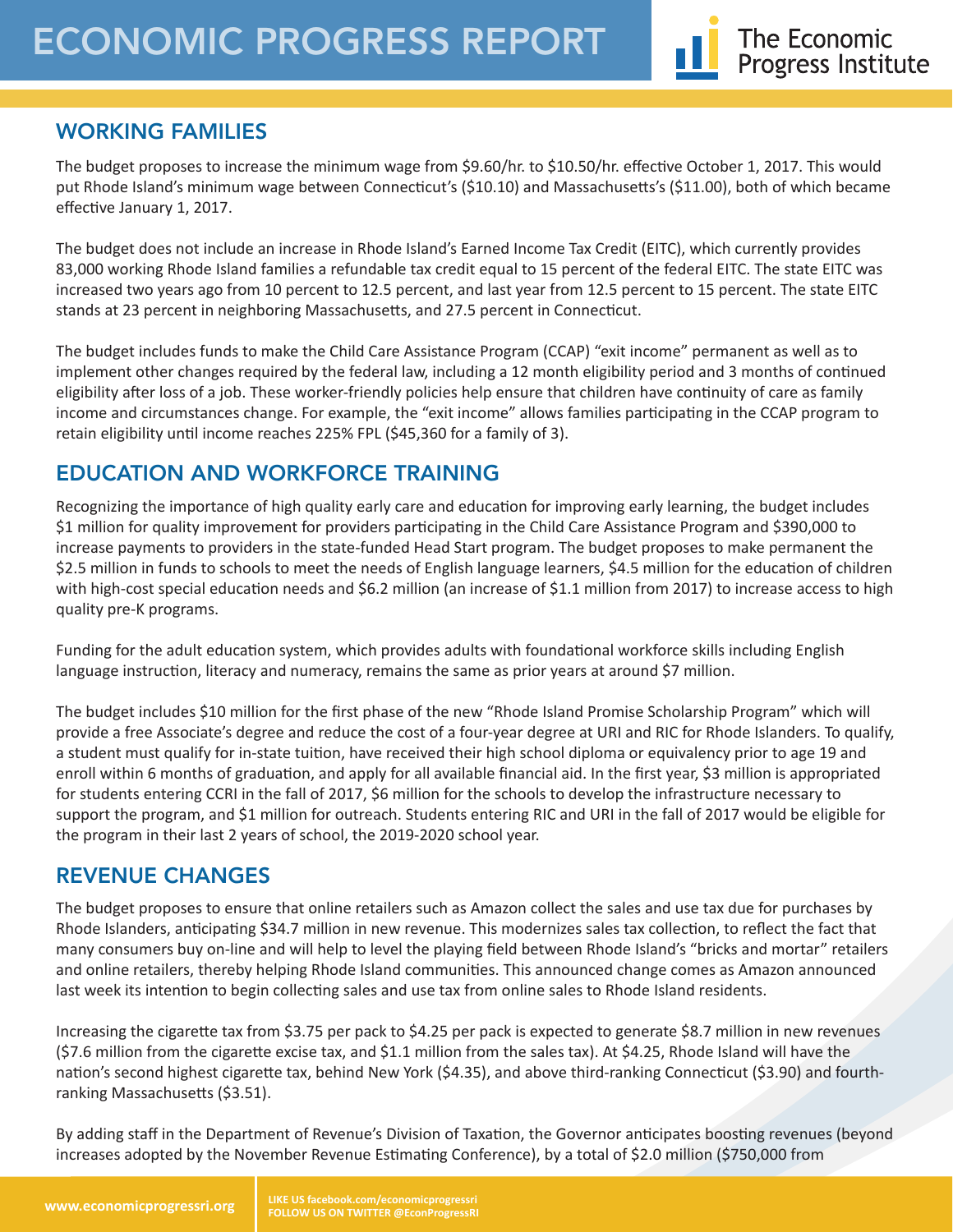## WORKING FAMILIES

The budget proposes to increase the minimum wage from \$9.60/hr. to \$10.50/hr. effective October 1, 2017. This would put Rhode Island's minimum wage between Connecticut's (\$10.10) and Massachusetts's (\$11.00), both of which became effective January 1, 2017.

The budget does not include an increase in Rhode Island's Earned Income Tax Credit (EITC), which currently provides 83,000 working Rhode Island families a refundable tax credit equal to 15 percent of the federal EITC. The state EITC was increased two years ago from 10 percent to 12.5 percent, and last year from 12.5 percent to 15 percent. The state EITC stands at 23 percent in neighboring Massachusetts, and 27.5 percent in Connecticut.

The budget includes funds to make the Child Care Assistance Program (CCAP) "exit income" permanent as well as to implement other changes required by the federal law, including a 12 month eligibility period and 3 months of continued eligibility after loss of a job. These worker-friendly policies help ensure that children have continuity of care as family income and circumstances change. For example, the "exit income" allows families participating in the CCAP program to retain eligibility until income reaches 225% FPL (\$45,360 for a family of 3).

## EDUCATION AND WORKFORCE TRAINING

Recognizing the importance of high quality early care and education for improving early learning, the budget includes \$1 million for quality improvement for providers participating in the Child Care Assistance Program and \$390,000 to increase payments to providers in the state-funded Head Start program. The budget proposes to make permanent the \$2.5 million in funds to schools to meet the needs of English language learners, \$4.5 million for the education of children with high-cost special education needs and \$6.2 million (an increase of \$1.1 million from 2017) to increase access to high quality pre-K programs.

Funding for the adult education system, which provides adults with foundational workforce skills including English language instruction, literacy and numeracy, remains the same as prior years at around \$7 million.

The budget includes \$10 million for the first phase of the new "Rhode Island Promise Scholarship Program" which will provide a free Associate's degree and reduce the cost of a four-year degree at URI and RIC for Rhode Islanders. To qualify, a student must qualify for in-state tuition, have received their high school diploma or equivalency prior to age 19 and enroll within 6 months of graduation, and apply for all available financial aid. In the first year, \$3 million is appropriated for students entering CCRI in the fall of 2017, \$6 million for the schools to develop the infrastructure necessary to support the program, and \$1 million for outreach. Students entering RIC and URI in the fall of 2017 would be eligible for the program in their last 2 years of school, the 2019-2020 school year.

## REVENUE CHANGES

The budget proposes to ensure that online retailers such as Amazon collect the sales and use tax due for purchases by Rhode Islanders, anticipating \$34.7 million in new revenue. This modernizes sales tax collection, to reflect the fact that many consumers buy on-line and will help to level the playing field between Rhode Island's "bricks and mortar" retailers and online retailers, thereby helping Rhode Island communities. This announced change comes as Amazon announced last week its intention to begin collecting sales and use tax from online sales to Rhode Island residents.

Increasing the cigarette tax from \$3.75 per pack to \$4.25 per pack is expected to generate \$8.7 million in new revenues (\$7.6 million from the cigarette excise tax, and \$1.1 million from the sales tax). At \$4.25, Rhode Island will have the nation's second highest cigarette tax, behind New York (\$4.35), and above third-ranking Connecticut (\$3.90) and fourthranking Massachusetts (\$3.51).

By adding staff in the Department of Revenue's Division of Taxation, the Governor anticipates boosting revenues (beyond increases adopted by the November Revenue Estimating Conference), by a total of \$2.0 million (\$750,000 from